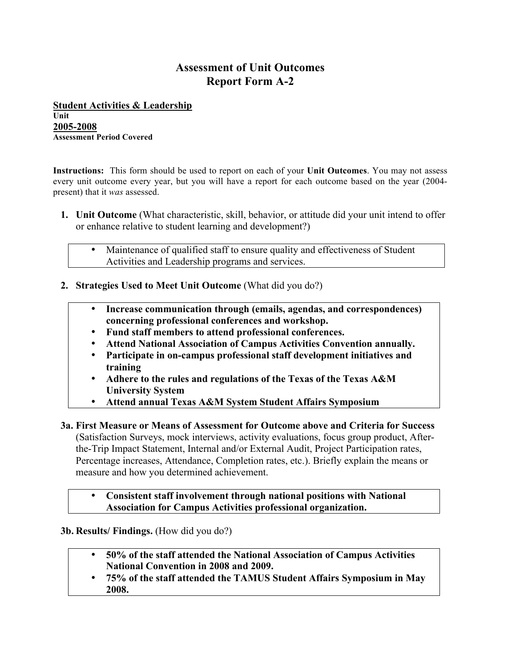# **Assessment of Unit Outcomes Report Form A-2**

**Student Activities & Leadership Unit 2005-2008 Assessment Period Covered**

**Instructions:** This form should be used to report on each of your **Unit Outcomes**. You may not assess every unit outcome every year, but you will have a report for each outcome based on the year (2004 present) that it *was* assessed.

- **1. Unit Outcome** (What characteristic, skill, behavior, or attitude did your unit intend to offer or enhance relative to student learning and development?)
	- Maintenance of qualified staff to ensure quality and effectiveness of Student Activities and Leadership programs and services.
- **2. Strategies Used to Meet Unit Outcome** (What did you do?)
	- **Increase communication through (emails, agendas, and correspondences) concerning professional conferences and workshop.**
	- **Fund staff members to attend professional conferences.**
	- **Attend National Association of Campus Activities Convention annually.**
	- **Participate in on-campus professional staff development initiatives and training**
	- **Adhere to the rules and regulations of the Texas of the Texas A&M University System**
	- **Attend annual Texas A&M System Student Affairs Symposium**
- **3a. First Measure or Means of Assessment for Outcome above and Criteria for Success** (Satisfaction Surveys, mock interviews, activity evaluations, focus group product, Afterthe-Trip Impact Statement, Internal and/or External Audit, Project Participation rates, Percentage increases, Attendance, Completion rates, etc.). Briefly explain the means or measure and how you determined achievement.

• **Consistent staff involvement through national positions with National Association for Campus Activities professional organization.**

**3b. Results/ Findings.** (How did you do?)

- **50% of the staff attended the National Association of Campus Activities National Convention in 2008 and 2009.**
- **75% of the staff attended the TAMUS Student Affairs Symposium in May 2008.**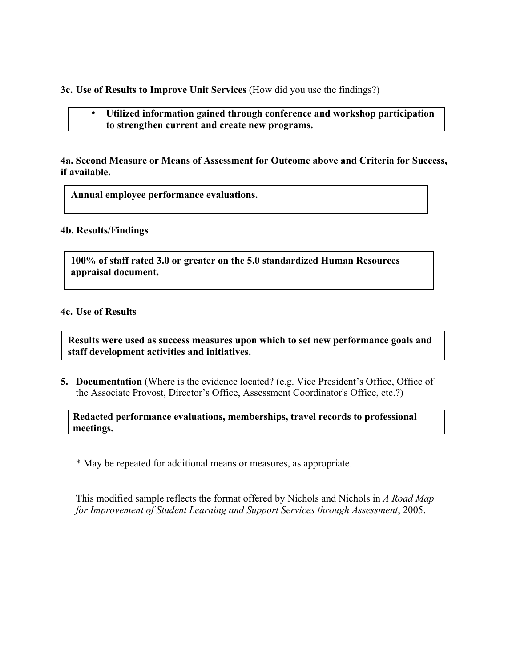**3c. Use of Results to Improve Unit Services** (How did you use the findings?)

• **Utilized information gained through conference and workshop participation to strengthen current and create new programs.**

**4a. Second Measure or Means of Assessment for Outcome above and Criteria for Success, if available.**

**Annual employee performance evaluations.**

#### **4b. Results/Findings**

**100% of staff rated 3.0 or greater on the 5.0 standardized Human Resources appraisal document.**

#### **4c. Use of Results**

**Results were used as success measures upon which to set new performance goals and staff development activities and initiatives.**

**5. Documentation** (Where is the evidence located? (e.g. Vice President's Office, Office of the Associate Provost, Director's Office, Assessment Coordinator's Office, etc.?)

**Redacted performance evaluations, memberships, travel records to professional meetings.**

\* May be repeated for additional means or measures, as appropriate.

This modified sample reflects the format offered by Nichols and Nichols in *A Road Map for Improvement of Student Learning and Support Services through Assessment*, 2005.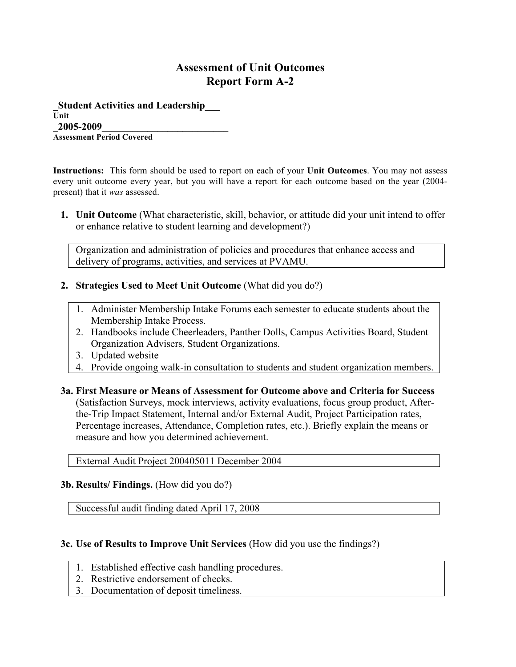## **Assessment of Unit Outcomes Report Form A-2**

**\_Student Activities and Leadership**\_\_\_ **Unit \_2005-2009\_\_\_\_\_\_\_\_\_\_\_\_\_\_\_\_\_\_\_\_\_\_\_\_\_ Assessment Period Covered**

**Instructions:** This form should be used to report on each of your **Unit Outcomes**. You may not assess every unit outcome every year, but you will have a report for each outcome based on the year (2004 present) that it *was* assessed.

**1. Unit Outcome** (What characteristic, skill, behavior, or attitude did your unit intend to offer or enhance relative to student learning and development?)

Organization and administration of policies and procedures that enhance access and delivery of programs, activities, and services at PVAMU.

- **2. Strategies Used to Meet Unit Outcome** (What did you do?)
	- 1. Administer Membership Intake Forums each semester to educate students about the Membership Intake Process.
	- 2. Handbooks include Cheerleaders, Panther Dolls, Campus Activities Board, Student Organization Advisers, Student Organizations.
	- 3. Updated website
	- 4. Provide ongoing walk-in consultation to students and student organization members.
- **3a. First Measure or Means of Assessment for Outcome above and Criteria for Success** (Satisfaction Surveys, mock interviews, activity evaluations, focus group product, Afterthe-Trip Impact Statement, Internal and/or External Audit, Project Participation rates, Percentage increases, Attendance, Completion rates, etc.). Briefly explain the means or measure and how you determined achievement.

External Audit Project 200405011 December 2004

**3b. Results/ Findings.** (How did you do?)

Successful audit finding dated April 17, 2008

### **3c. Use of Results to Improve Unit Services** (How did you use the findings?)

- 1. Established effective cash handling procedures.
- 2. Restrictive endorsement of checks.
- 3. Documentation of deposit timeliness.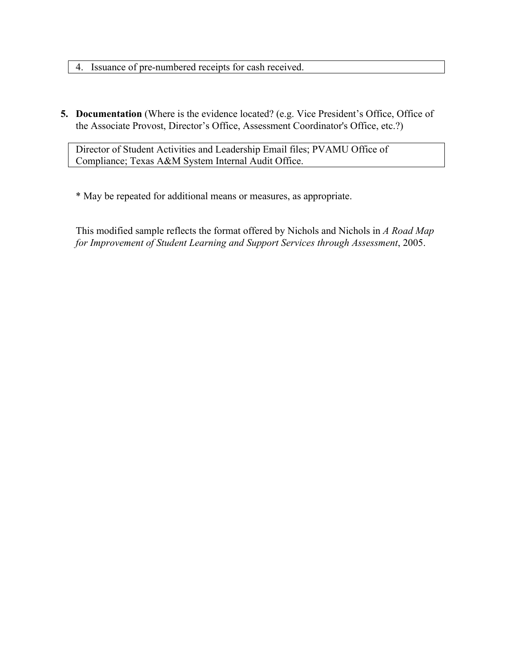- 4. Issuance of pre-numbered receipts for cash received.
- **5. Documentation** (Where is the evidence located? (e.g. Vice President's Office, Office of the Associate Provost, Director's Office, Assessment Coordinator's Office, etc.?)

Director of Student Activities and Leadership Email files; PVAMU Office of Compliance; Texas A&M System Internal Audit Office.

\* May be repeated for additional means or measures, as appropriate.

This modified sample reflects the format offered by Nichols and Nichols in *A Road Map for Improvement of Student Learning and Support Services through Assessment*, 2005.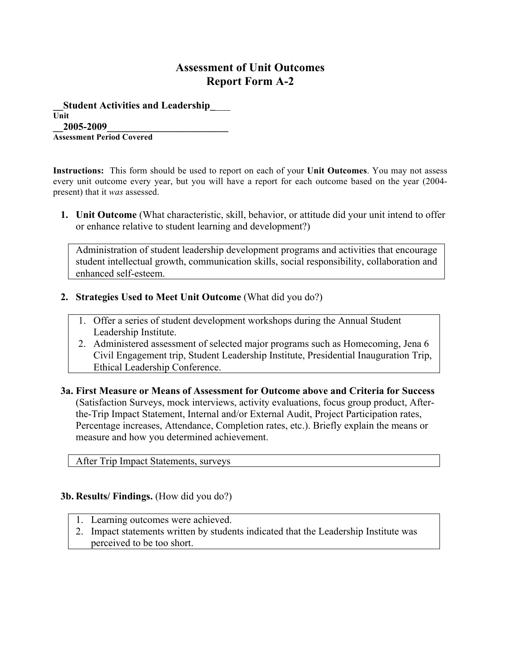## **Assessment of Unit Outcomes Report Form A-2**

**\_\_Student Activities and Leadership\_**\_\_\_ **Unit \_\_2005-2009\_\_\_\_\_\_\_\_\_\_\_\_\_\_\_\_\_\_\_\_\_\_\_\_ Assessment Period Covered**

**Instructions:** This form should be used to report on each of your **Unit Outcomes**. You may not assess every unit outcome every year, but you will have a report for each outcome based on the year (2004 present) that it *was* assessed.

**1. Unit Outcome** (What characteristic, skill, behavior, or attitude did your unit intend to offer or enhance relative to student learning and development?)

Administration of student leadership development programs and activities that encourage student intellectual growth, communication skills, social responsibility, collaboration and enhanced self-esteem.

- **2. Strategies Used to Meet Unit Outcome** (What did you do?)
	- 1. Offer a series of student development workshops during the Annual Student Leadership Institute.
	- 2. Administered assessment of selected major programs such as Homecoming, Jena 6 Civil Engagement trip, Student Leadership Institute, Presidential Inauguration Trip, Ethical Leadership Conference.
- **3a. First Measure or Means of Assessment for Outcome above and Criteria for Success** (Satisfaction Surveys, mock interviews, activity evaluations, focus group product, Afterthe-Trip Impact Statement, Internal and/or External Audit, Project Participation rates, Percentage increases, Attendance, Completion rates, etc.). Briefly explain the means or measure and how you determined achievement.

After Trip Impact Statements, surveys

### **3b. Results/ Findings.** (How did you do?)

- 1. Learning outcomes were achieved.
- 2. Impact statements written by students indicated that the Leadership Institute was perceived to be too short.